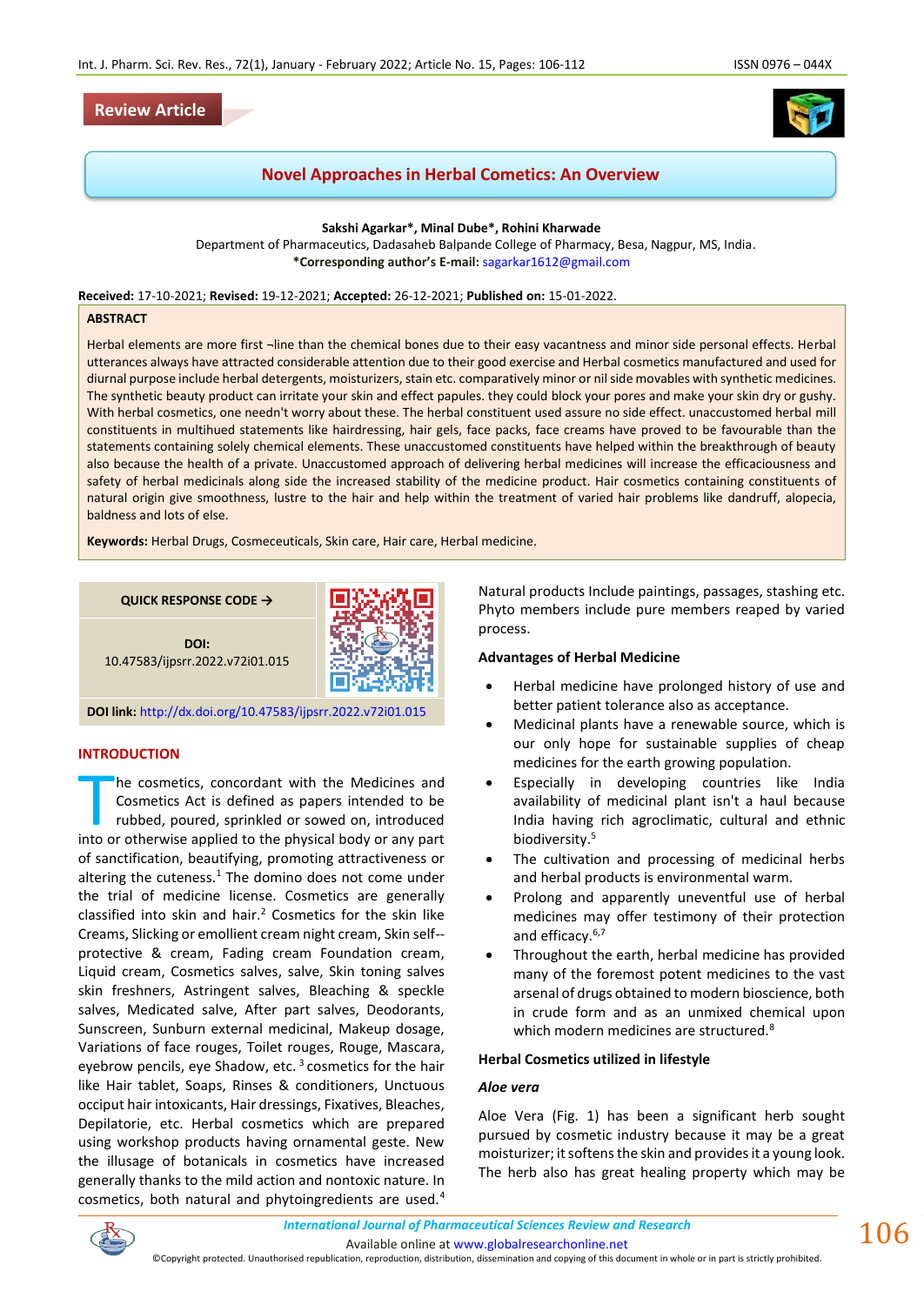

# **Novel Approaches in Herbal Cometics: An Overview**

**Sakshi Agarkar\*, Minal Dube\*, Rohini Kharwade**

Department of Pharmaceutics, Dadasaheb Balpande College of Pharmacy, Besa, Nagpur, MS, India. **\*Corresponding author's E-mail:** [sagarkar1612@gmail.com](about:blank)

**Received:** 17-10-2021; **Revised:** 19-12-2021; **Accepted:** 26-12-2021; **Published on:** 15-01-2022.

#### **ABSTRACT**

Herbal elements are more first ¬line than the chemical bones due to their easy vacantness and minor side personal effects. Herbal utterances always have attracted considerable attention due to their good exercise and Herbal cosmetics manufactured and used for diurnal purpose include herbal detergents, moisturizers, stain etc. comparatively minor or nil side movables with synthetic medicines. The synthetic beauty product can irritate your skin and effect papules. they could block your pores and make your skin dry or gushy. With herbal cosmetics, one needn't worry about these. The herbal constituent used assure no side effect. unaccustomed herbal mill constituents in multihued statements like hairdressing, hair gels, face packs, face creams have proved to be favourable than the statements containing solely chemical elements. These unaccustomed constituents have helped within the breakthrough of beauty also because the health of a private. Unaccustomed approach of delivering herbal medicines will increase the efficaciousness and safety of herbal medicinals along side the increased stability of the medicine product. Hair cosmetics containing constituents of natural origin give smoothness, lustre to the hair and help within the treatment of varied hair problems like dandruff, alopecia, baldness and lots of else.

**Keywords:** Herbal Drugs, Cosmeceuticals, Skin care, Hair care, Herbal medicine.

**QUICK RESPONSE CODE →**



**DOI:** 10.47583/ijpsrr.2022.v72i01.015

**DOI link:** <http://dx.doi.org/10.47583/ijpsrr.2022.v72i01.015>

### **INTRODUCTION**

he cosmetics, concordant with the Medicines and Cosmetics Act is defined as papers intended to be rubbed, poured, sprinkled or sowed on, introduced The cosmetics, concordant with the Medicines and Cosmetics Act is defined as papers intended to be rubbed, poured, sprinkled or sowed on, introduced into or otherwise applied to the physical body or any part of sanctification, beautifying, promoting attractiveness or altering the cuteness. $1$  The domino does not come under the trial of medicine license. Cosmetics are generally classified into skin and hair.<sup>2</sup> Cosmetics for the skin like Creams, Slicking or emollient cream night cream, Skin self- protective & cream, Fading cream Foundation cream, Liquid cream, Cosmetics salves, salve, Skin toning salves skin freshners, Astringent salves, Bleaching & speckle salves, Medicated salve, After part salves, Deodorants, Sunscreen, Sunburn external medicinal, Makeup dosage, Variations of face rouges, Toilet rouges, Rouge, Mascara, eyebrow pencils, eye Shadow, etc.  $3$  cosmetics for the hair like Hair tablet, Soaps, Rinses & conditioners, Unctuous occiput hair intoxicants, Hair dressings, Fixatives, Bleaches, Depilatorie, etc. Herbal cosmetics which are prepared using workshop products having ornamental geste. New the illusage of botanicals in cosmetics have increased generally thanks to the mild action and nontoxic nature. In cosmetics, both natural and phytoingredients are used.<sup>4</sup> Natural products Include paintings, passages, stashing etc. Phyto members include pure members reaped by varied process.

#### **Advantages of Herbal Medicine**

- Herbal medicine have prolonged history of use and better patient tolerance also as acceptance.
- Medicinal plants have a renewable source, which is our only hope for sustainable supplies of cheap medicines for the earth growing population.
- Especially in developing countries like India availability of medicinal plant isn't a haul because India having rich agroclimatic, cultural and ethnic biodiversity.<sup>5</sup>
- The cultivation and processing of medicinal herbs and herbal products is environmental warm.
- Prolong and apparently uneventful use of herbal medicines may offer testimony of their protection and efficacy.<sup>6,7</sup>
- Throughout the earth, herbal medicine has provided many of the foremost potent medicines to the vast arsenal of drugs obtained to modern bioscience, both in crude form and as an unmixed chemical upon which modern medicines are structured.<sup>8</sup>

#### **Herbal Cosmetics utilized in lifestyle**

## *Aloe vera*

Aloe Vera (Fig. 1) has been a significant herb sought pursued by cosmetic industry because it may be a great moisturizer; it softens the skin and provides it a young look. The herb also has great healing property which may be



Available online a[t www.globalresearchonline.net](http://www.globalresearchonline.net/)

©Copyright protected. Unauthorised republication, reproduction, distribution, dissemination and copying of this document in whole or in part is strictly prohibited.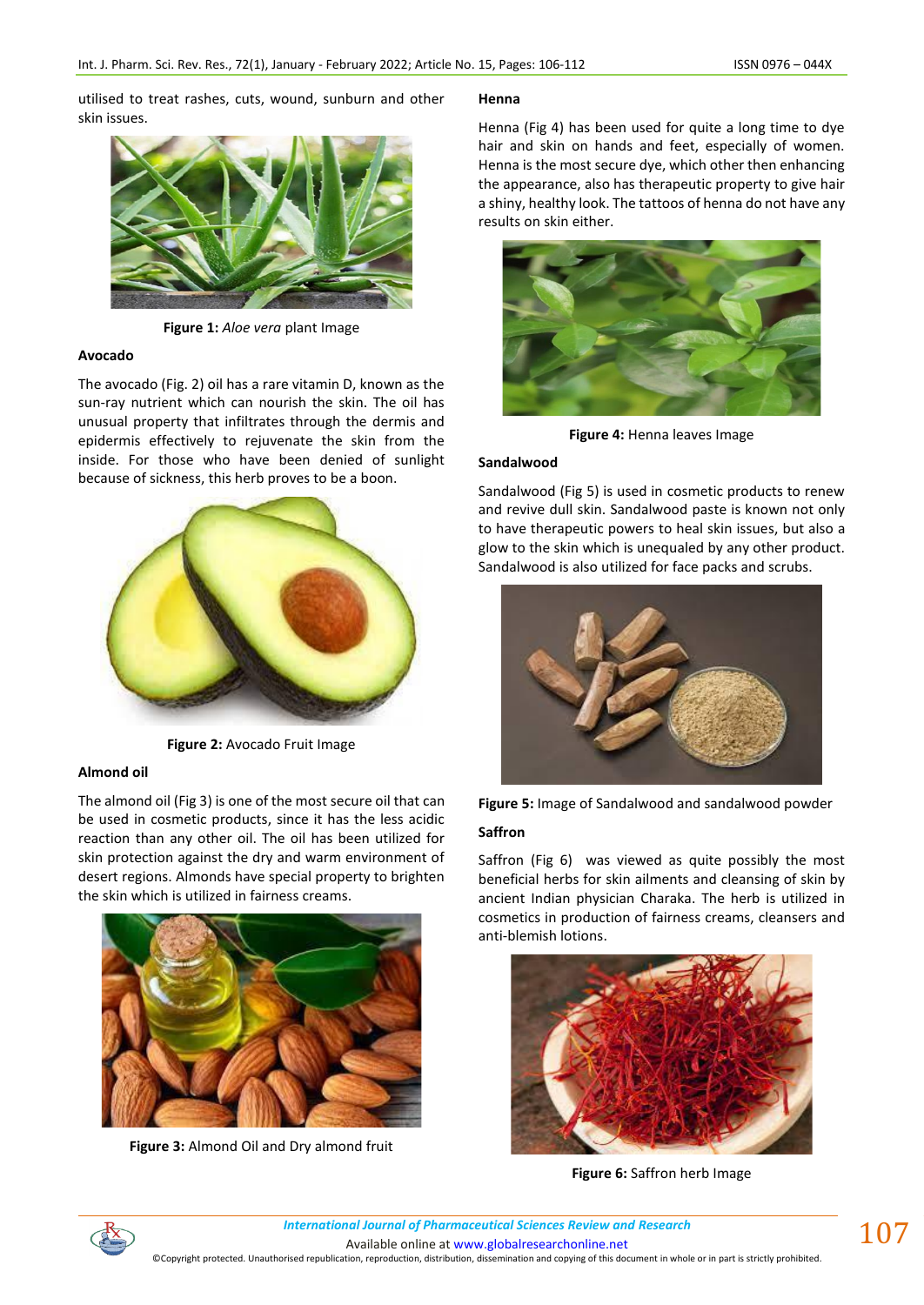utilised to treat rashes, cuts, wound, sunburn and other skin issues.



**Figure 1:** *Aloe vera* plant Image

#### **Avocado**

The avocado (Fig. 2) oil has a rare vitamin D, known as the sun-ray nutrient which can nourish the skin. The oil has unusual property that infiltrates through the dermis and epidermis effectively to rejuvenate the skin from the inside. For those who have been denied of sunlight because of sickness, this herb proves to be a boon.



**Figure 2:** Avocado Fruit Image

## **Almond oil**

The almond oil (Fig 3) is one of the most secure oil that can be used in cosmetic products, since it has the less acidic reaction than any other oil. The oil has been utilized for skin protection against the dry and warm environment of desert regions. Almonds have special property to brighten the skin which is utilized in fairness creams.



**Figure 3:** Almond Oil and Dry almond fruit

## **Henna**

Henna (Fig 4) has been used for quite a long time to dye hair and skin on hands and feet, especially of women. Henna is the most secure dye, which other then enhancing the appearance, also has therapeutic property to give hair a shiny, healthy look. The tattoos of henna do not have any results on skin either.



**Figure 4:** Henna leaves Image

#### **Sandalwood**

Sandalwood (Fig 5) is used in cosmetic products to renew and revive dull skin. Sandalwood paste is known not only to have therapeutic powers to heal skin issues, but also a glow to the skin which is unequaled by any other product. Sandalwood is also utilized for face packs and scrubs.





#### **Saffron**

Saffron (Fig 6) was viewed as quite possibly the most beneficial herbs for skin ailments and cleansing of skin by ancient Indian physician Charaka. The herb is utilized in cosmetics in production of fairness creams, cleansers and anti-blemish lotions.



**Figure 6:** Saffron herb Image

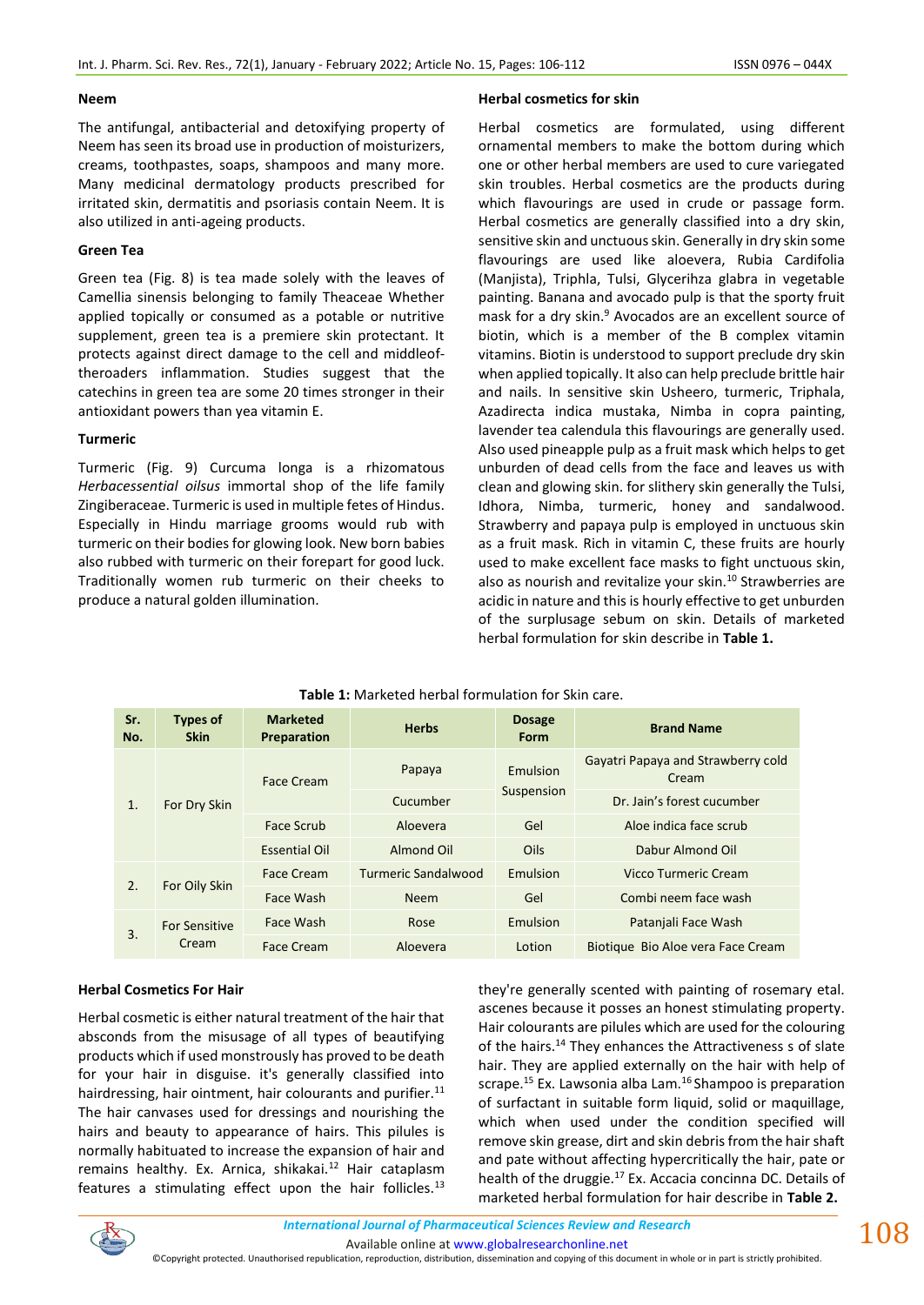#### **Neem**

The antifungal, antibacterial and detoxifying property of Neem has seen its broad use in production of moisturizers, creams, toothpastes, soaps, shampoos and many more. Many medicinal dermatology products prescribed for irritated skin, dermatitis and psoriasis contain Neem. It is also utilized in anti-ageing products.

### **Green Tea**

Green tea (Fig. 8) is tea made solely with the leaves of Camellia sinensis belonging to family Theaceae Whether applied topically or consumed as a potable or nutritive supplement, green tea is a premiere skin protectant. It protects against direct damage to the cell and middleoftheroaders inflammation. Studies suggest that the catechins in green tea are some 20 times stronger in their antioxidant powers than yea vitamin E.

### **Turmeric**

Turmeric (Fig. 9) Curcuma longa is a rhizomatous *Herbacessential oilsus* immortal shop of the life family Zingiberaceae. Turmeric is used in multiple fetes of Hindus. Especially in Hindu marriage grooms would rub with turmeric on their bodies for glowing look. New born babies also rubbed with turmeric on their forepart for good luck. Traditionally women rub turmeric on their cheeks to produce a natural golden illumination.

### **Herbal cosmetics for skin**

Herbal cosmetics are formulated, using different ornamental members to make the bottom during which one or other herbal members are used to cure variegated skin troubles. Herbal cosmetics are the products during which flavourings are used in crude or passage form. Herbal cosmetics are generally classified into a dry skin, sensitive skin and unctuous skin. Generally in dry skin some flavourings are used like aloevera, Rubia Cardifolia (Manjista), Triphla, Tulsi, Glycerihza glabra in vegetable painting. Banana and avocado pulp is that the sporty fruit mask for a dry skin.<sup>9</sup> Avocados are an excellent source of biotin, which is a member of the B complex vitamin vitamins. Biotin is understood to support preclude dry skin when applied topically. It also can help preclude brittle hair and nails. In sensitive skin Usheero, turmeric, Triphala, Azadirecta indica mustaka, Nimba in copra painting, lavender tea calendula this flavourings are generally used. Also used pineapple pulp as a fruit mask which helps to get unburden of dead cells from the face and leaves us with clean and glowing skin. for slithery skin generally the Tulsi, Idhora, Nimba, turmeric, honey and sandalwood. Strawberry and papaya pulp is employed in unctuous skin as a fruit mask. Rich in vitamin C, these fruits are hourly used to make excellent face masks to fight unctuous skin, also as nourish and revitalize your skin.<sup>10</sup> Strawberries are acidic in nature and this is hourly effective to get unburden of the surplusage sebum on skin. Details of marketed herbal formulation for skin describe in **Table 1.** 

## **Table 1:** Marketed herbal formulation for Skin care.

| Sr.<br>No. | <b>Types of</b><br><b>Skin</b> | <b>Marketed</b><br>Preparation | <b>Herbs</b>               | <b>Dosage</b><br><b>Form</b> | <b>Brand Name</b>                           |
|------------|--------------------------------|--------------------------------|----------------------------|------------------------------|---------------------------------------------|
|            | For Dry Skin                   | Face Cream                     | Papaya                     | Emulsion                     | Gayatri Papaya and Strawberry cold<br>Cream |
| 1.         |                                |                                | Cucumber                   | Suspension                   | Dr. Jain's forest cucumber                  |
|            |                                | Face Scrub                     | Aloevera                   | Gel                          | Aloe indica face scrub                      |
|            |                                | <b>Essential Oil</b>           | Almond Oil                 | Oils                         | Dabur Almond Oil                            |
| 2.         |                                | Face Cream                     | <b>Turmeric Sandalwood</b> | Emulsion                     | Vicco Turmeric Cream                        |
|            | For Oily Skin                  | Face Wash                      | <b>Neem</b>                | Gel                          | Combi neem face wash                        |
|            | <b>For Sensitive</b>           | Face Wash                      | Rose                       | Emulsion                     | Patanjali Face Wash                         |
| 3.         | Cream                          | Face Cream                     | Aloevera                   | Lotion                       | Biotique Bio Aloe vera Face Cream           |

## **Herbal Cosmetics For Hair**

Herbal cosmetic is either natural treatment of the hair that absconds from the misusage of all types of beautifying products which if used monstrously has proved to be death for your hair in disguise. it's generally classified into hairdressing, hair ointment, hair colourants and purifier.<sup>11</sup> The hair canvases used for dressings and nourishing the hairs and beauty to appearance of hairs. This pilules is normally habituated to increase the expansion of hair and remains healthy. Ex. Arnica, shikakai.<sup>12</sup> Hair cataplasm features a stimulating effect upon the hair follicles. $^{13}$ 

they're generally scented with painting of rosemary etal. ascenes because it posses an honest stimulating property. Hair colourants are pilules which are used for the colouring of the hairs.<sup>14</sup> They enhances the Attractiveness s of slate hair. They are applied externally on the hair with help of scrape.<sup>15</sup> Ex. Lawsonia alba Lam.<sup>16</sup> Shampoo is preparation of surfactant in suitable form liquid, solid or maquillage, which when used under the condition specified will remove skin grease, dirt and skin debris from the hair shaft and pate without affecting hypercritically the hair, pate or health of the druggie.<sup>17</sup> Ex. Accacia concinna DC. Details of marketed herbal formulation for hair describe in **Table 2.** 

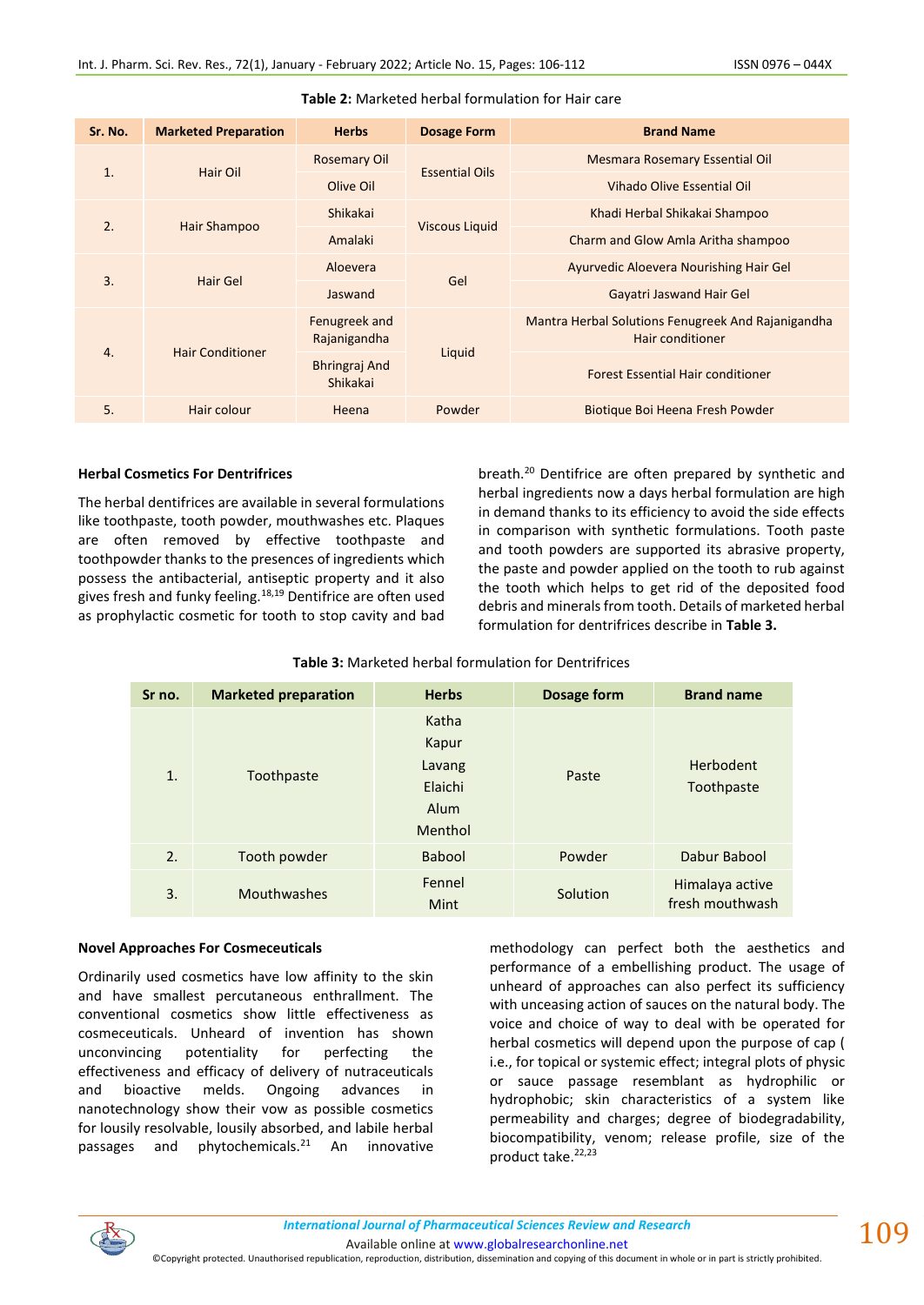| Sr. No. | <b>Marketed Preparation</b> | <b>Herbs</b>                     | <b>Dosage Form</b>    | <b>Brand Name</b>                                                      |
|---------|-----------------------------|----------------------------------|-----------------------|------------------------------------------------------------------------|
| 1.      | Hair Oil                    | <b>Rosemary Oil</b>              | <b>Essential Oils</b> | Mesmara Rosemary Essential Oil                                         |
|         |                             | Olive Oil                        |                       | Vihado Olive Essential Oil                                             |
| 2.      | Hair Shampoo                | <b>Shikakai</b>                  | <b>Viscous Liquid</b> | Khadi Herbal Shikakai Shampoo                                          |
|         |                             | Amalaki                          |                       | Charm and Glow Amla Aritha shampoo                                     |
| 3.      | Hair Gel                    | Aloevera                         | Gel                   | Ayurvedic Aloevera Nourishing Hair Gel                                 |
|         |                             | Jaswand                          |                       | Gayatri Jaswand Hair Gel                                               |
|         | <b>Hair Conditioner</b>     | Fenugreek and<br>Rajanigandha    |                       | Mantra Herbal Solutions Fenugreek And Rajanigandha<br>Hair conditioner |
| 4.      |                             | <b>Bhringraj And</b><br>Shikakai | Liquid                | <b>Forest Essential Hair conditioner</b>                               |
| 5.      | Hair colour                 | Heena                            | Powder                | Biotique Boi Heena Fresh Powder                                        |

### **Table 2:** Marketed herbal formulation for Hair care

## **Herbal Cosmetics For Dentrifrices**

The herbal dentifrices are available in several formulations like toothpaste, tooth powder, mouthwashes etc. Plaques are often removed by effective toothpaste and toothpowder thanks to the presences of ingredients which possess the antibacterial, antiseptic property and it also gives fresh and funky feeling.<sup>18,19</sup> Dentifrice are often used as prophylactic cosmetic for tooth to stop cavity and bad

breath.<sup>20</sup> Dentifrice are often prepared by synthetic and herbal ingredients now a days herbal formulation are high in demand thanks to its efficiency to avoid the side effects in comparison with synthetic formulations. Tooth paste and tooth powders are supported its abrasive property, the paste and powder applied on the tooth to rub against the tooth which helps to get rid of the deposited food debris and minerals from tooth. Details of marketed herbal formulation for dentrifrices describe in **Table 3.** 

| Sr no. | <b>Marketed preparation</b> | <b>Herbs</b>                                           | Dosage form | <b>Brand name</b>                  |
|--------|-----------------------------|--------------------------------------------------------|-------------|------------------------------------|
| 1.     | Toothpaste                  | Katha<br>Kapur<br>Lavang<br>Elaichi<br>Alum<br>Menthol | Paste       | Herbodent<br>Toothpaste            |
| 2.     | Tooth powder                | <b>Babool</b>                                          | Powder      | Dabur Babool                       |
| 3.     | Mouthwashes                 | Fennel<br>Mint                                         | Solution    | Himalaya active<br>fresh mouthwash |

## **Table 3:** Marketed herbal formulation for Dentrifrices

#### **Novel Approaches For Cosmeceuticals**

Ordinarily used cosmetics have low affinity to the skin and have smallest percutaneous enthrallment. The conventional cosmetics show little effectiveness as cosmeceuticals. Unheard of invention has shown unconvincing potentiality for perfecting the effectiveness and efficacy of delivery of nutraceuticals and bioactive melds. Ongoing advances in nanotechnology show their vow as possible cosmetics for lousily resolvable, lousily absorbed, and labile herbal passages and phytochemicals.<sup>21</sup> An innovative methodology can perfect both the aesthetics and performance of a embellishing product. The usage of unheard of approaches can also perfect its sufficiency with unceasing action of sauces on the natural body. The voice and choice of way to deal with be operated for herbal cosmetics will depend upon the purpose of cap ( i.e., for topical or systemic effect; integral plots of physic or sauce passage resemblant as hydrophilic or hydrophobic; skin characteristics of a system like permeability and charges; degree of biodegradability, biocompatibility, venom; release profile, size of the product take.<sup>22,23</sup>



©Copyright protected. Unauthorised republication, reproduction, distribution, dissemination and copying of this document in whole or in part is strictly prohibited.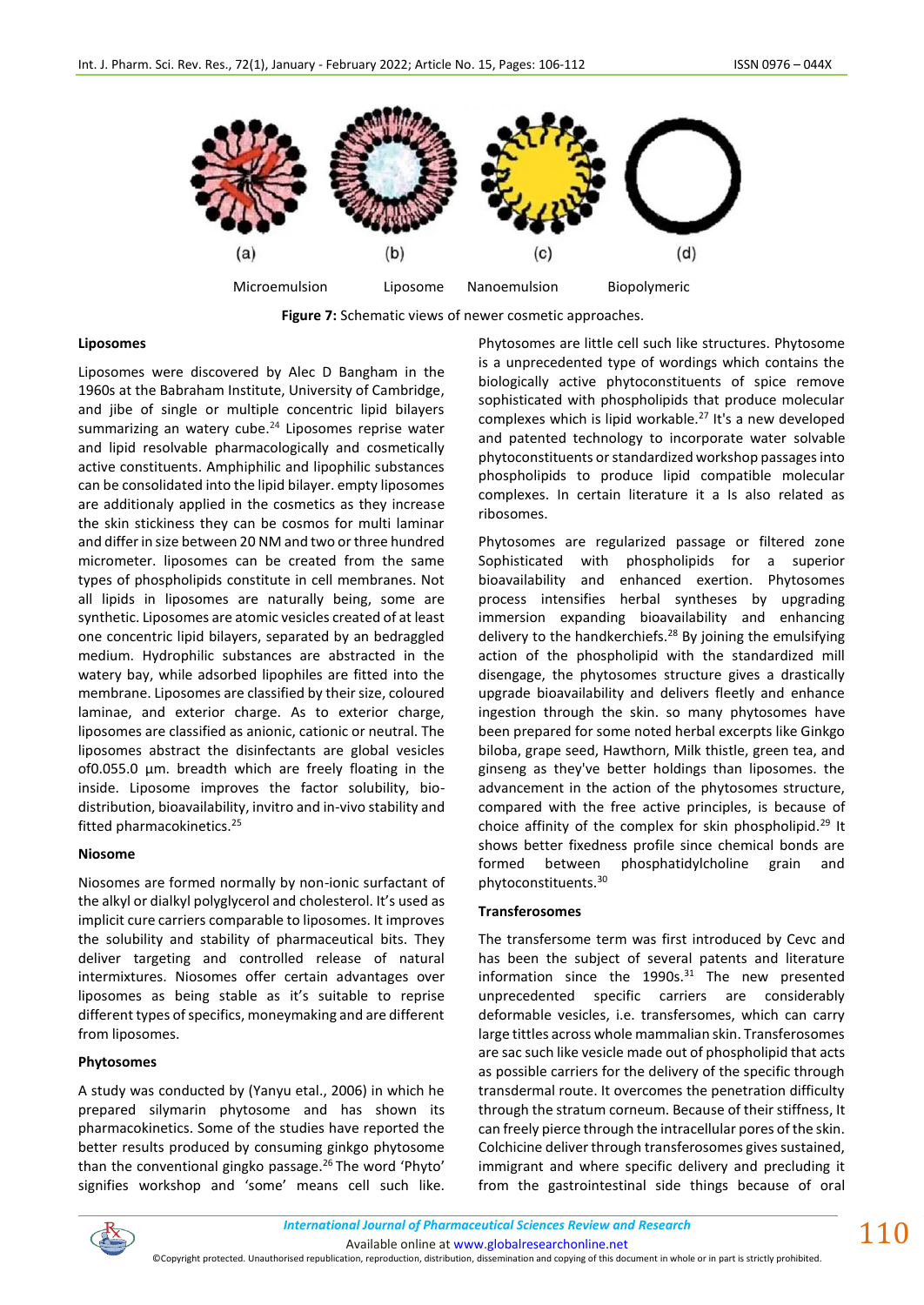

 **Figure 7:** Schematic views of newer cosmetic approaches.

### **Liposomes**

Liposomes were discovered by Alec D Bangham in the 1960s at the Babraham Institute, University of Cambridge, and jibe of single or multiple concentric lipid bilayers summarizing an watery cube.<sup>24</sup> Liposomes reprise water and lipid resolvable pharmacologically and cosmetically active constituents. Amphiphilic and lipophilic substances can be consolidated into the lipid bilayer. empty liposomes are additionaly applied in the cosmetics as they increase the skin stickiness they can be cosmos for multi laminar and differ in size between 20 NM and two or three hundred micrometer. liposomes can be created from the same types of phospholipids constitute in cell membranes. Not all lipids in liposomes are naturally being, some are synthetic. Liposomes are atomic vesicles created of at least one concentric lipid bilayers, separated by an bedraggled medium. Hydrophilic substances are abstracted in the watery bay, while adsorbed lipophiles are fitted into the membrane. Liposomes are classified by their size, coloured laminae, and exterior charge. As to exterior charge, liposomes are classified as anionic, cationic or neutral. The liposomes abstract the disinfectants are global vesicles of0.055.0 μm. breadth which are freely floating in the inside. Liposome improves the factor solubility, biodistribution, bioavailability, invitro and in-vivo stability and fitted pharmacokinetics.<sup>25</sup>

#### **Niosome**

Niosomes are formed normally by non-ionic surfactant of the alkyl or dialkyl polyglycerol and cholesterol. It's used as implicit cure carriers comparable to liposomes. It improves the solubility and stability of pharmaceutical bits. They deliver targeting and controlled release of natural intermixtures. Niosomes offer certain advantages over liposomes as being stable as it's suitable to reprise different types of specifics, moneymaking and are different from liposomes.

## **Phytosomes**

A study was conducted by (Yanyu etal., 2006) in which he prepared silymarin phytosome and has shown its pharmacokinetics. Some of the studies have reported the better results produced by consuming ginkgo phytosome than the conventional gingko passage.<sup>26</sup> The word 'Phyto' signifies workshop and 'some' means cell such like. Phytosomes are little cell such like structures. Phytosome is a unprecedented type of wordings which contains the biologically active phytoconstituents of spice remove sophisticated with phospholipids that produce molecular complexes which is lipid workable.<sup>27</sup> It's a new developed and patented technology to incorporate water solvable phytoconstituents or standardized workshop passages into phospholipids to produce lipid compatible molecular complexes. In certain literature it a Is also related as ribosomes.

Phytosomes are regularized passage or filtered zone Sophisticated with phospholipids for a superior bioavailability and enhanced exertion. Phytosomes process intensifies herbal syntheses by upgrading immersion expanding bioavailability and enhancing delivery to the handkerchiefs.<sup>28</sup> By joining the emulsifying action of the phospholipid with the standardized mill disengage, the phytosomes structure gives a drastically upgrade bioavailability and delivers fleetly and enhance ingestion through the skin. so many phytosomes have been prepared for some noted herbal excerpts like Ginkgo biloba, grape seed, Hawthorn, Milk thistle, green tea, and ginseng as they've better holdings than liposomes. the advancement in the action of the phytosomes structure, compared with the free active principles, is because of choice affinity of the complex for skin phospholipid.<sup>29</sup> It shows better fixedness profile since chemical bonds are formed between phosphatidylcholine grain and phytoconstituents.<sup>30</sup>

#### **Transferosomes**

The transfersome term was first introduced by Cevc and has been the subject of several patents and literature information since the  $1990s.<sup>31</sup>$  The new presented unprecedented specific carriers are considerably deformable vesicles, i.e. transfersomes, which can carry large tittles across whole mammalian skin. Transferosomes are sac such like vesicle made out of phospholipid that acts as possible carriers for the delivery of the specific through transdermal route. It overcomes the penetration difficulty through the stratum corneum. Because of their stiffness, It can freely pierce through the intracellular pores of the skin. Colchicine deliver through transferosomes gives sustained, immigrant and where specific delivery and precluding it from the gastrointestinal side things because of oral



Available online a[t www.globalresearchonline.net](http://www.globalresearchonline.net/)

©Copyright protected. Unauthorised republication, reproduction, distribution, dissemination and copying of this document in whole or in part is strictly prohibited.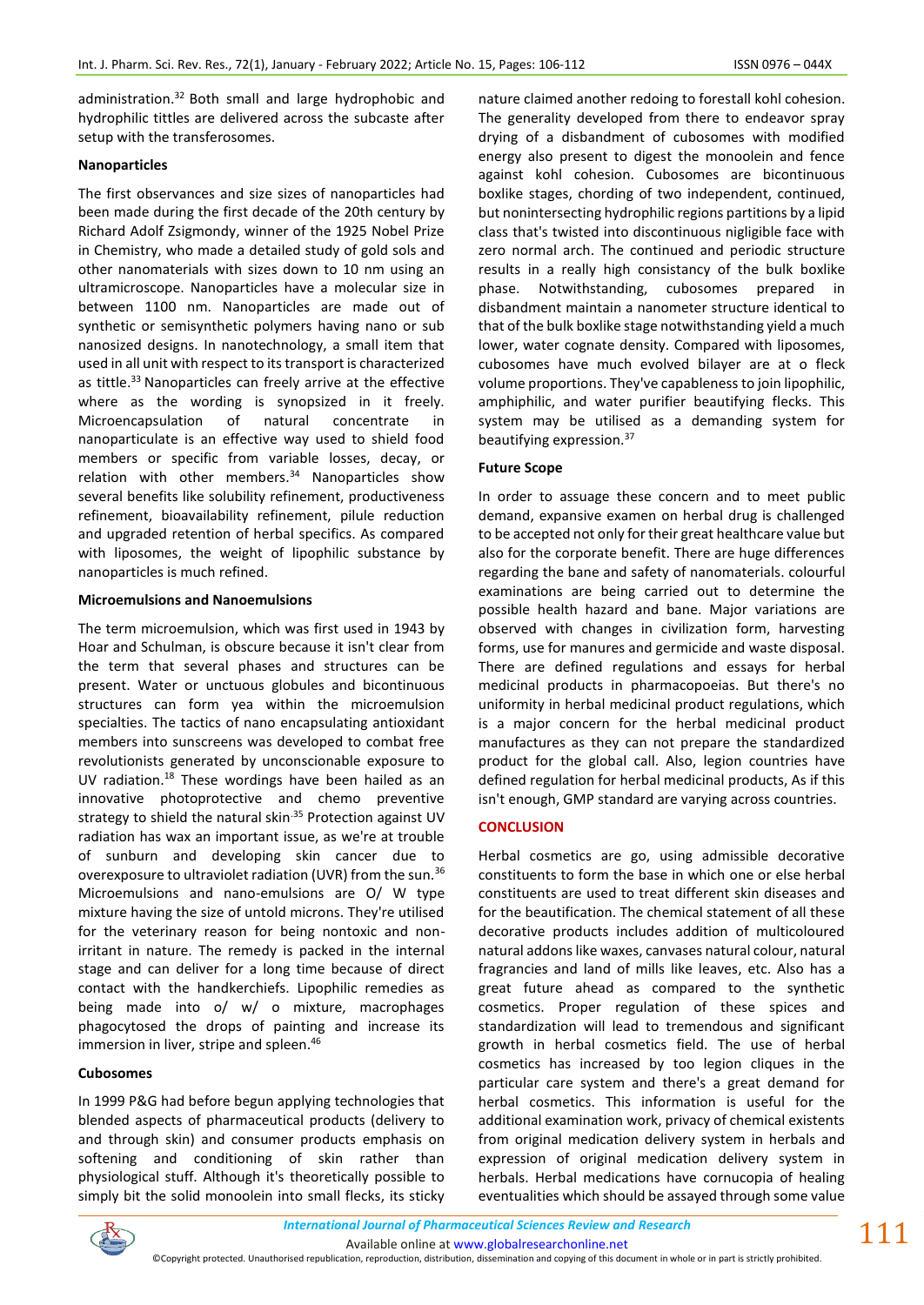administration.<sup>32</sup> Both small and large hydrophobic and hydrophilic tittles are delivered across the subcaste after setup with the transferosomes.

### **Nanoparticles**

The first observances and size sizes of nanoparticles had been made during the first decade of the 20th century by Richard Adolf Zsigmondy, winner of the 1925 Nobel Prize in Chemistry, who made a detailed study of gold sols and other nanomaterials with sizes down to 10 nm using an ultramicroscope. Nanoparticles have a molecular size in between 1100 nm. Nanoparticles are made out of synthetic or semisynthetic polymers having nano or sub nanosized designs. In nanotechnology, a small item that used in all unit with respect to its transport is characterized as tittle.<sup>33</sup> Nanoparticles can freely arrive at the effective where as the wording is synopsized in it freely. Microencapsulation of natural concentrate in nanoparticulate is an effective way used to shield food members or specific from variable losses, decay, or relation with other members.<sup>34</sup> Nanoparticles show several benefits like solubility refinement, productiveness refinement, bioavailability refinement, pilule reduction and upgraded retention of herbal specifics. As compared with liposomes, the weight of lipophilic substance by nanoparticles is much refined.

## **Microemulsions and Nanoemulsions**

The term microemulsion, which was first used in 1943 by Hoar and Schulman, is obscure because it isn't clear from the term that several phases and structures can be present. Water or unctuous globules and bicontinuous structures can form yea within the microemulsion specialties. The tactics of nano encapsulating antioxidant members into sunscreens was developed to combat free revolutionists generated by unconscionable exposure to UV radiation.<sup>18</sup> These wordings have been hailed as an innovative photoprotective and chemo preventive strategy to shield the natural skin $35$  Protection against UV radiation has wax an important issue, as we're at trouble of sunburn and developing skin cancer due to overexposure to ultraviolet radiation (UVR) from the sun.<sup>36</sup> Microemulsions and nano-emulsions are O/ W type mixture having the size of untold microns. They're utilised for the veterinary reason for being nontoxic and nonirritant in nature. The remedy is packed in the internal stage and can deliver for a long time because of direct contact with the handkerchiefs. Lipophilic remedies as being made into o/ w/ o mixture, macrophages phagocytosed the drops of painting and increase its immersion in liver, stripe and spleen.<sup>46</sup>

## **Cubosomes**

In 1999 P&G had before begun applying technologies that blended aspects of pharmaceutical products (delivery to and through skin) and consumer products emphasis on softening and conditioning of skin rather than physiological stuff. Although it's theoretically possible to simply bit the solid monoolein into small flecks, its sticky nature claimed another redoing to forestall kohl cohesion. The generality developed from there to endeavor spray drying of a disbandment of cubosomes with modified energy also present to digest the monoolein and fence against kohl cohesion. Cubosomes are bicontinuous boxlike stages, chording of two independent, continued, but nonintersecting hydrophilic regions partitions by a lipid class that's twisted into discontinuous nigligible face with zero normal arch. The continued and periodic structure results in a really high consistancy of the bulk boxlike phase. Notwithstanding, cubosomes prepared in disbandment maintain a nanometer structure identical to that of the bulk boxlike stage notwithstanding yield a much lower, water cognate density. Compared with liposomes, cubosomes have much evolved bilayer are at o fleck volume proportions. They've capableness to join lipophilic, amphiphilic, and water purifier beautifying flecks. This system may be utilised as a demanding system for beautifying expression.<sup>37</sup>

### **Future Scope**

In order to assuage these concern and to meet public demand, expansive examen on herbal drug is challenged to be accepted not only for their great healthcare value but also for the corporate benefit. There are huge differences regarding the bane and safety of nanomaterials. colourful examinations are being carried out to determine the possible health hazard and bane. Major variations are observed with changes in civilization form, harvesting forms, use for manures and germicide and waste disposal. There are defined regulations and essays for herbal medicinal products in pharmacopoeias. But there's no uniformity in herbal medicinal product regulations, which is a major concern for the herbal medicinal product manufactures as they can not prepare the standardized product for the global call. Also, legion countries have defined regulation for herbal medicinal products, As if this isn't enough, GMP standard are varying across countries.

## **CONCLUSION**

Herbal cosmetics are go, using admissible decorative constituents to form the base in which one or else herbal constituents are used to treat different skin diseases and for the beautification. The chemical statement of all these decorative products includes addition of multicoloured natural addons like waxes, canvases natural colour, natural fragrancies and land of mills like leaves, etc. Also has a great future ahead as compared to the synthetic cosmetics. Proper regulation of these spices and standardization will lead to tremendous and significant growth in herbal cosmetics field. The use of herbal cosmetics has increased by too legion cliques in the particular care system and there's a great demand for herbal cosmetics. This information is useful for the additional examination work, privacy of chemical existents from original medication delivery system in herbals and expression of original medication delivery system in herbals. Herbal medications have cornucopia of healing eventualities which should be assayed through some value



<sup>©</sup>Copyright protected. Unauthorised republication, reproduction, distribution, dissemination and copying of this document in whole or in part is strictly prohibited.